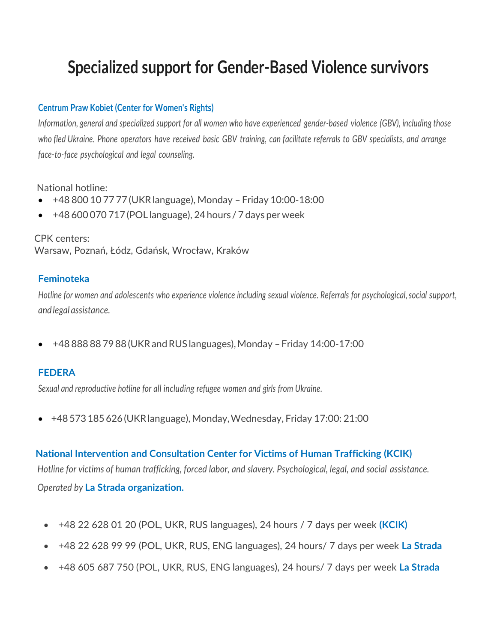# **Specialized support for Gender-Based Violence survivors**

#### **Centrum Praw Kobiet (Center for Women's Rights)**

*Information, general and specialized support for all women who have experienced gender-based violence (GBV), including those*  who fled Ukraine. Phone operators have received basic GBV training, can facilitate referrals to GBV specialists, and arrange *face-to-face psychological and legal counseling.*

National hotline:

- +48 800 10 77 77 (UKRlanguage), Monday Friday 10:00-18:00
- +48 600 070 717 (POL language), 24hours / 7 days perweek

 CPK centers: Warsaw, Poznań, Łódz, Gdańsk, Wrocław, Kraków

#### **Feminoteka**

*Hotline for women and adolescents who experience violence including sexual violence. Referrals for psychological, social support, andlegal assistance.*

• +48 888 88 7988 (UKRandRUS languages),Monday –Friday 14:00-17:00

## **FEDERA**

*Sexual and reproductive hotline for all including refugee women and girls from Ukraine.*

• +48573185626(UKRlanguage), Monday,Wednesday, Friday 17:00: 21:00

# **National Intervention and Consultation Center for Victims of Human Trafficking (KCIK)**

 *Hotline for victims of human trafficking, forced labor, and slavery. Psychological, legal, and social assistance. Operated by* **La Strada organization.**

- +48 22 628 01 20 (POL, UKR, RUS languages), 24 hours / 7 days per week **(KCIK)**
- +48 22 628 99 99 (POL, UKR, RUS, ENG languages), 24 hours/ 7 days per week **La Strada**
- +48 605 687 750 (POL, UKR, RUS, ENG languages), 24 hours/ 7 days per week **La Strada**